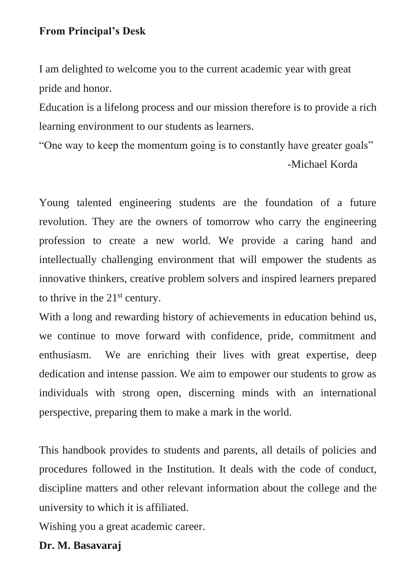## **From Principal's Desk**

I am delighted to welcome you to the current academic year with great pride and honor.

Education is a lifelong process and our mission therefore is to provide a rich learning environment to our students as learners.

"One way to keep the momentum going is to constantly have greater goals"

-Michael Korda

Young talented engineering students are the foundation of a future revolution. They are the owners of tomorrow who carry the engineering profession to create a new world. We provide a caring hand and intellectually challenging environment that will empower the students as innovative thinkers, creative problem solvers and inspired learners prepared to thrive in the 21<sup>st</sup> century.

With a long and rewarding history of achievements in education behind us, we continue to move forward with confidence, pride, commitment and enthusiasm. We are enriching their lives with great expertise, deep dedication and intense passion. We aim to empower our students to grow as individuals with strong open, discerning minds with an international perspective, preparing them to make a mark in the world.

This handbook provides to students and parents, all details of policies and procedures followed in the Institution. It deals with the code of conduct, discipline matters and other relevant information about the college and the university to which it is affiliated.

Wishing you a great academic career.

# **Dr. M. Basavaraj**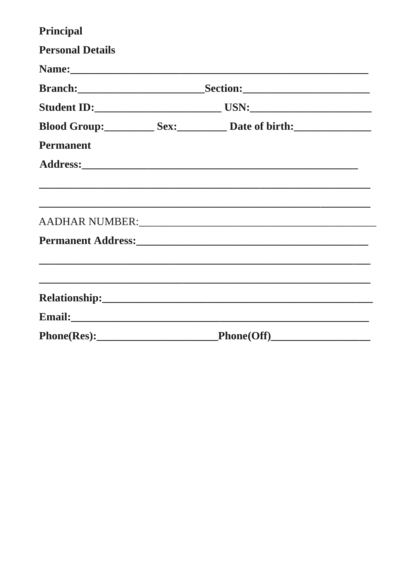| Principal               |  |                                                                                                                       |  |
|-------------------------|--|-----------------------------------------------------------------------------------------------------------------------|--|
| <b>Personal Details</b> |  |                                                                                                                       |  |
|                         |  |                                                                                                                       |  |
|                         |  |                                                                                                                       |  |
|                         |  |                                                                                                                       |  |
|                         |  | Blood Group: Sex: Sex: Date of birth:                                                                                 |  |
| <b>Permanent</b>        |  |                                                                                                                       |  |
|                         |  |                                                                                                                       |  |
|                         |  |                                                                                                                       |  |
|                         |  |                                                                                                                       |  |
|                         |  | <u> 1989 - Johann Stoff, amerikan bestein de stad in de stad in de stad in de stad in de stad in de stad in de st</u> |  |
|                         |  |                                                                                                                       |  |
|                         |  |                                                                                                                       |  |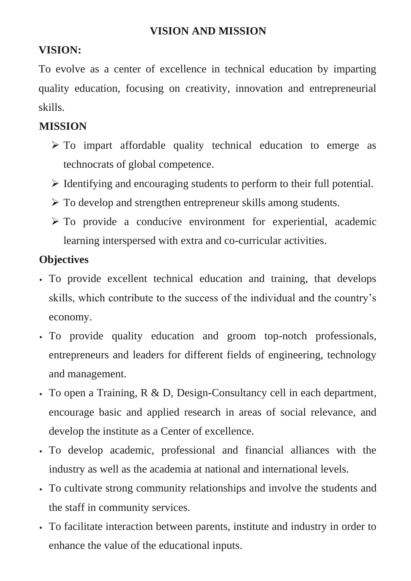# **VISION AND MISSION**

# **VISION:**

To evolve as a center of excellence in technical education by imparting quality education, focusing on creativity, innovation and entrepreneurial skills.

# **MISSION**

- $\triangleright$  To impart affordable quality technical education to emerge as technocrats of global competence.
- ➢ Identifying and encouraging students to perform to their full potential.
- ➢ To develop and strengthen entrepreneur skills among students.
- $\triangleright$  To provide a conducive environment for experiential, academic learning interspersed with extra and co-curricular activities.

# **Objectives**

- To provide excellent technical education and training, that develops skills, which contribute to the success of the individual and the country's economy.
- To provide quality education and groom top-notch professionals, entrepreneurs and leaders for different fields of engineering, technology and management.
- To open a Training, R & D, Design-Consultancy cell in each department, encourage basic and applied research in areas of social relevance, and develop the institute as a Center of excellence.
- To develop academic, professional and financial alliances with the industry as well as the academia at national and international levels.
- To cultivate strong community relationships and involve the students and the staff in community services.
- To facilitate interaction between parents, institute and industry in order to enhance the value of the educational inputs.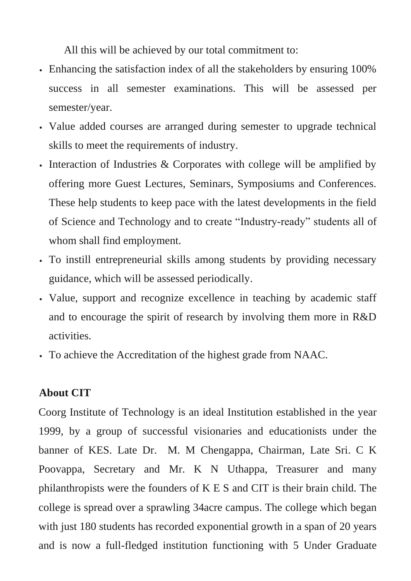All this will be achieved by our total commitment to:

- Enhancing the satisfaction index of all the stakeholders by ensuring 100% success in all semester examinations. This will be assessed per semester/year.
- Value added courses are arranged during semester to upgrade technical skills to meet the requirements of industry.
- Interaction of Industries & Corporates with college will be amplified by offering more Guest Lectures, Seminars, Symposiums and Conferences. These help students to keep pace with the latest developments in the field of Science and Technology and to create "Industry-ready" students all of whom shall find employment.
- To instill entrepreneurial skills among students by providing necessary guidance, which will be assessed periodically.
- Value, support and recognize excellence in teaching by academic staff and to encourage the spirit of research by involving them more in R&D activities.
- To achieve the Accreditation of the highest grade from NAAC.

# **About CIT**

Coorg Institute of Technology is an ideal Institution established in the year 1999, by a group of successful visionaries and educationists under the banner of KES. Late Dr. M. M Chengappa, Chairman, Late Sri. C K Poovappa, Secretary and Mr. K N Uthappa, Treasurer and many philanthropists were the founders of K E S and CIT is their brain child. The college is spread over a sprawling 34acre campus. The college which began with just 180 students has recorded exponential growth in a span of 20 years and is now a full-fledged institution functioning with 5 Under Graduate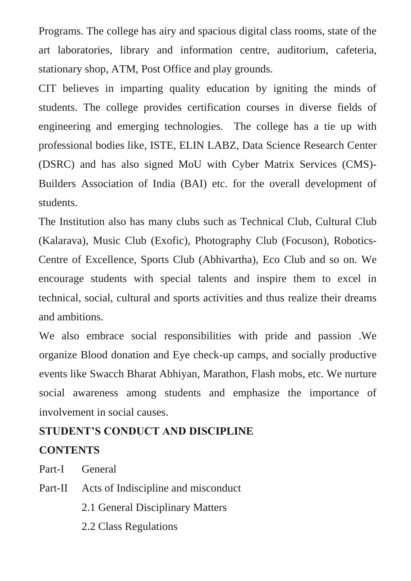Programs. The college has airy and spacious digital class rooms, state of the art laboratories, library and information centre, auditorium, cafeteria, stationary shop, ATM, Post Office and play grounds.

CIT believes in imparting quality education by igniting the minds of students. The college provides certification courses in diverse fields of engineering and emerging technologies. The college has a tie up with professional bodies like, ISTE, ELIN LABZ, Data Science Research Center (DSRC) and has also signed MoU with Cyber Matrix Services (CMS)- Builders Association of India (BAI) etc. for the overall development of students.

The Institution also has many clubs such as Technical Club, Cultural Club (Kalarava), Music Club (Exofic), Photography Club (Focuson), Robotics-Centre of Excellence, Sports Club (Abhivartha), Eco Club and so on. We encourage students with special talents and inspire them to excel in technical, social, cultural and sports activities and thus realize their dreams and ambitions.

We also embrace social responsibilities with pride and passion .We organize Blood donation and Eye check-up camps, and socially productive events like Swacch Bharat Abhiyan, Marathon, Flash mobs, etc. We nurture social awareness among students and emphasize the importance of involvement in social causes.

# **STUDENT'S CONDUCT AND DISCIPLINE CONTENTS**

Part-I General

Part-II Acts of Indiscipline and misconduct

2.1 General Disciplinary Matters

2.2 Class Regulations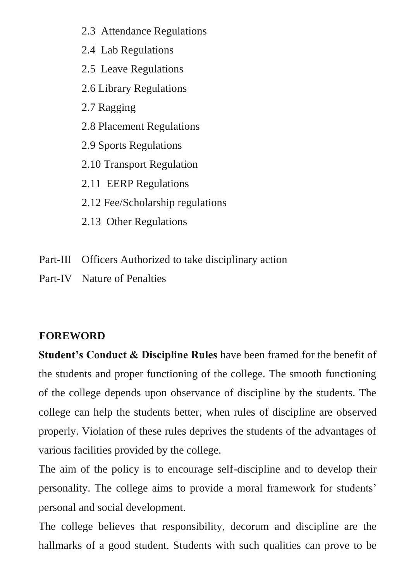- 2.3 Attendance Regulations
- 2.4 Lab Regulations
- 2.5 Leave Regulations
- 2.6 Library Regulations
- 2.7 Ragging
- 2.8 Placement Regulations
- 2.9 Sports Regulations
- 2.10 Transport Regulation
- 2.11 EERP Regulations
- 2.12 Fee/Scholarship regulations
- 2.13 Other Regulations
- Part-III Officers Authorized to take disciplinary action
- Part-IV Nature of Penalties

# **FOREWORD**

**Student's Conduct & Discipline Rules** have been framed for the benefit of the students and proper functioning of the college. The smooth functioning of the college depends upon observance of discipline by the students. The college can help the students better, when rules of discipline are observed properly. Violation of these rules deprives the students of the advantages of various facilities provided by the college.

The aim of the policy is to encourage self-discipline and to develop their personality. The college aims to provide a moral framework for students' personal and social development.

The college believes that responsibility, decorum and discipline are the hallmarks of a good student. Students with such qualities can prove to be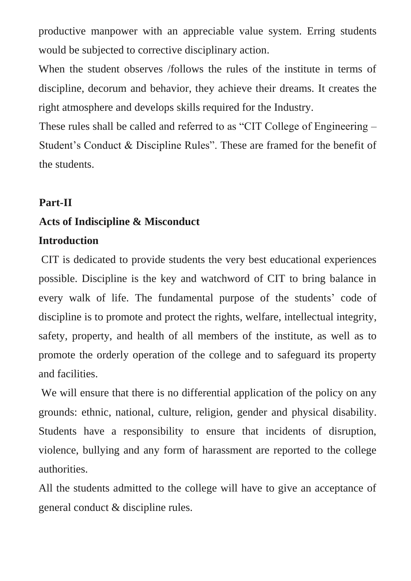productive manpower with an appreciable value system. Erring students would be subjected to corrective disciplinary action.

When the student observes /follows the rules of the institute in terms of discipline, decorum and behavior, they achieve their dreams. It creates the right atmosphere and develops skills required for the Industry.

These rules shall be called and referred to as "CIT College of Engineering – Student's Conduct & Discipline Rules". These are framed for the benefit of the students.

### **Part-II**

### **Acts of Indiscipline & Misconduct**

### **Introduction**

CIT is dedicated to provide students the very best educational experiences possible. Discipline is the key and watchword of CIT to bring balance in every walk of life. The fundamental purpose of the students' code of discipline is to promote and protect the rights, welfare, intellectual integrity, safety, property, and health of all members of the institute, as well as to promote the orderly operation of the college and to safeguard its property and facilities.

We will ensure that there is no differential application of the policy on any grounds: ethnic, national, culture, religion, gender and physical disability. Students have a responsibility to ensure that incidents of disruption, violence, bullying and any form of harassment are reported to the college authorities.

All the students admitted to the college will have to give an acceptance of general conduct & discipline rules.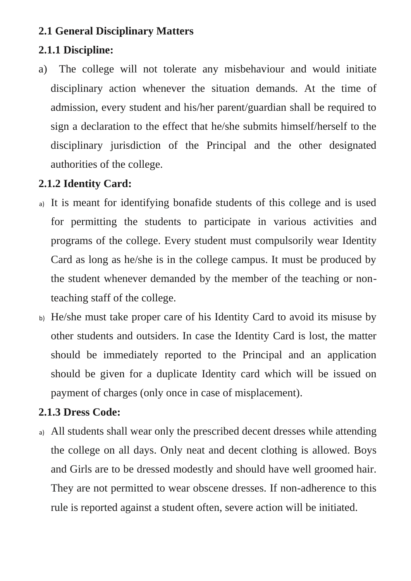# **2.1 General Disciplinary Matters**

# **2.1.1 Discipline:**

a) The college will not tolerate any misbehaviour and would initiate disciplinary action whenever the situation demands. At the time of admission, every student and his/her parent/guardian shall be required to sign a declaration to the effect that he/she submits himself/herself to the disciplinary jurisdiction of the Principal and the other designated authorities of the college.

# **2.1.2 Identity Card:**

- a) It is meant for identifying bonafide students of this college and is used for permitting the students to participate in various activities and programs of the college. Every student must compulsorily wear Identity Card as long as he/she is in the college campus. It must be produced by the student whenever demanded by the member of the teaching or nonteaching staff of the college.
- b) He/she must take proper care of his Identity Card to avoid its misuse by other students and outsiders. In case the Identity Card is lost, the matter should be immediately reported to the Principal and an application should be given for a duplicate Identity card which will be issued on payment of charges (only once in case of misplacement).

# **2.1.3 Dress Code:**

a) All students shall wear only the prescribed decent dresses while attending the college on all days. Only neat and decent clothing is allowed. Boys and Girls are to be dressed modestly and should have well groomed hair. They are not permitted to wear obscene dresses. If non-adherence to this rule is reported against a student often, severe action will be initiated.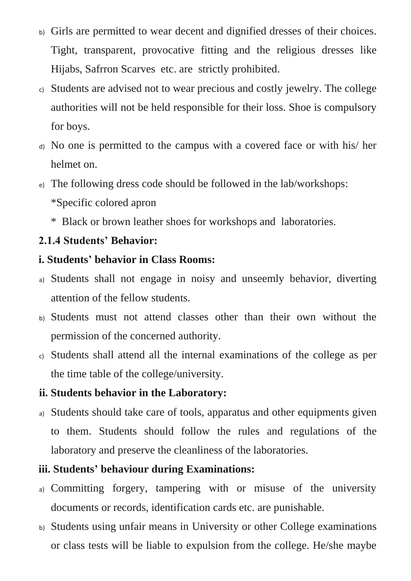- b) Girls are permitted to wear decent and dignified dresses of their choices. Tight, transparent, provocative fitting and the religious dresses like Hijabs, Safrron Scarves etc. are strictly prohibited.
- c) Students are advised not to wear precious and costly jewelry. The college authorities will not be held responsible for their loss. Shoe is compulsory for boys.
- d) No one is permitted to the campus with a covered face or with his/ her helmet on.
- e) The following dress code should be followed in the lab/workshops:
	- \*Specific colored apron
	- \* Black or brown leather shoes for workshops and laboratories.

# **2.1.4 Students' Behavior:**

# **i. Students' behavior in Class Rooms:**

- a) Students shall not engage in noisy and unseemly behavior, diverting attention of the fellow students.
- b) Students must not attend classes other than their own without the permission of the concerned authority.
- c) Students shall attend all the internal examinations of the college as per the time table of the college/university.

# **ii. Students behavior in the Laboratory:**

a) Students should take care of tools, apparatus and other equipments given to them. Students should follow the rules and regulations of the laboratory and preserve the cleanliness of the laboratories.

# **iii. Students' behaviour during Examinations:**

- a) Committing forgery, tampering with or misuse of the university documents or records, identification cards etc. are punishable.
- b) Students using unfair means in University or other College examinations or class tests will be liable to expulsion from the college. He/she maybe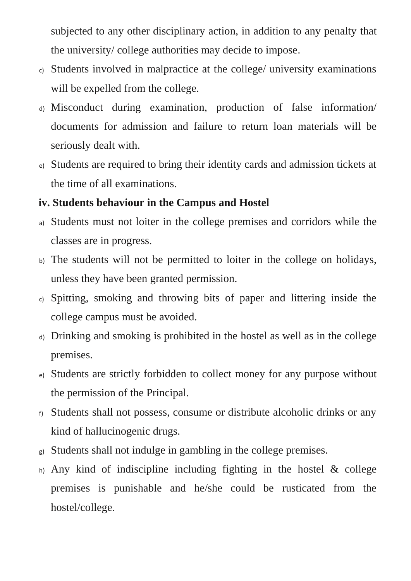subjected to any other disciplinary action, in addition to any penalty that the university/ college authorities may decide to impose.

- c) Students involved in malpractice at the college/ university examinations will be expelled from the college.
- d) Misconduct during examination, production of false information/ documents for admission and failure to return loan materials will be seriously dealt with.
- e) Students are required to bring their identity cards and admission tickets at the time of all examinations.

# **iv. Students behaviour in the Campus and Hostel**

- a) Students must not loiter in the college premises and corridors while the classes are in progress.
- b) The students will not be permitted to loiter in the college on holidays, unless they have been granted permission.
- c) Spitting, smoking and throwing bits of paper and littering inside the college campus must be avoided.
- d) Drinking and smoking is prohibited in the hostel as well as in the college premises.
- e) Students are strictly forbidden to collect money for any purpose without the permission of the Principal.
- f) Students shall not possess, consume or distribute alcoholic drinks or any kind of hallucinogenic drugs.
- g) Students shall not indulge in gambling in the college premises.
- $h$ ) Any kind of indiscipline including fighting in the hostel & college premises is punishable and he/she could be rusticated from the hostel/college.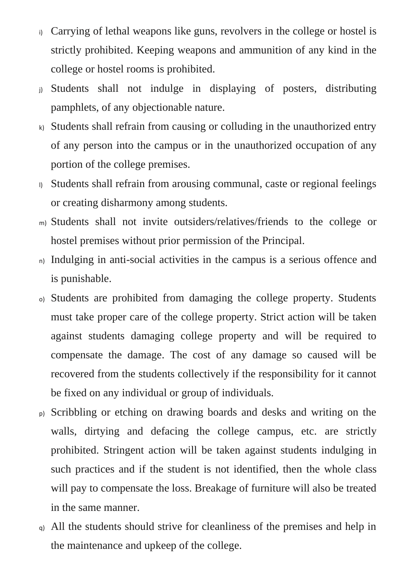- i) Carrying of lethal weapons like guns, revolvers in the college or hostel is strictly prohibited. Keeping weapons and ammunition of any kind in the college or hostel rooms is prohibited.
- j) Students shall not indulge in displaying of posters, distributing pamphlets, of any objectionable nature.
- k) Students shall refrain from causing or colluding in the unauthorized entry of any person into the campus or in the unauthorized occupation of any portion of the college premises.
- l) Students shall refrain from arousing communal, caste or regional feelings or creating disharmony among students.
- m) Students shall not invite outsiders/relatives/friends to the college or hostel premises without prior permission of the Principal.
- n) Indulging in anti-social activities in the campus is a serious offence and is punishable.
- o) Students are prohibited from damaging the college property. Students must take proper care of the college property. Strict action will be taken against students damaging college property and will be required to compensate the damage. The cost of any damage so caused will be recovered from the students collectively if the responsibility for it cannot be fixed on any individual or group of individuals.
- p) Scribbling or etching on drawing boards and desks and writing on the walls, dirtying and defacing the college campus, etc. are strictly prohibited. Stringent action will be taken against students indulging in such practices and if the student is not identified, then the whole class will pay to compensate the loss. Breakage of furniture will also be treated in the same manner.
- q) All the students should strive for cleanliness of the premises and help in the maintenance and upkeep of the college.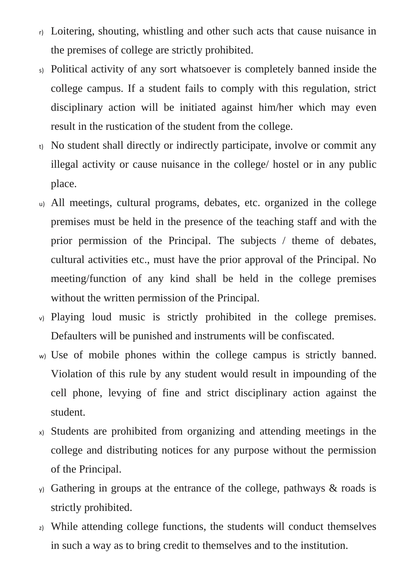- r) Loitering, shouting, whistling and other such acts that cause nuisance in the premises of college are strictly prohibited.
- s) Political activity of any sort whatsoever is completely banned inside the college campus. If a student fails to comply with this regulation, strict disciplinary action will be initiated against him/her which may even result in the rustication of the student from the college.
- t) No student shall directly or indirectly participate, involve or commit any illegal activity or cause nuisance in the college/ hostel or in any public place.
- u) All meetings, cultural programs, debates, etc. organized in the college premises must be held in the presence of the teaching staff and with the prior permission of the Principal. The subjects / theme of debates, cultural activities etc., must have the prior approval of the Principal. No meeting/function of any kind shall be held in the college premises without the written permission of the Principal.
- v) Playing loud music is strictly prohibited in the college premises. Defaulters will be punished and instruments will be confiscated.
- w) Use of mobile phones within the college campus is strictly banned. Violation of this rule by any student would result in impounding of the cell phone, levying of fine and strict disciplinary action against the student.
- x) Students are prohibited from organizing and attending meetings in the college and distributing notices for any purpose without the permission of the Principal.
- y) Gathering in groups at the entrance of the college, pathways & roads is strictly prohibited.
- z) While attending college functions, the students will conduct themselves in such a way as to bring credit to themselves and to the institution.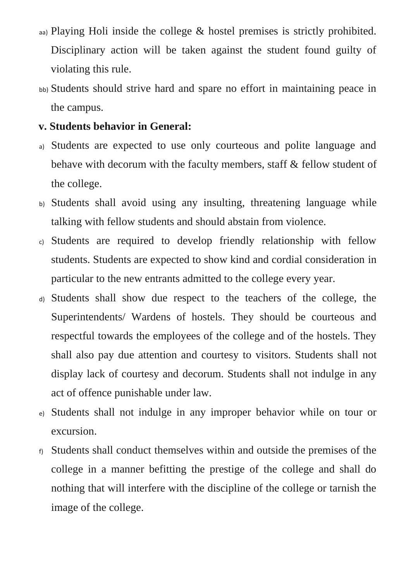- aa) Playing Holi inside the college & hostel premises is strictly prohibited. Disciplinary action will be taken against the student found guilty of violating this rule.
- bb) Students should strive hard and spare no effort in maintaining peace in the campus.

#### **v. Students behavior in General:**

- a) Students are expected to use only courteous and polite language and behave with decorum with the faculty members, staff & fellow student of the college.
- b) Students shall avoid using any insulting, threatening language while talking with fellow students and should abstain from violence.
- c) Students are required to develop friendly relationship with fellow students. Students are expected to show kind and cordial consideration in particular to the new entrants admitted to the college every year.
- d) Students shall show due respect to the teachers of the college, the Superintendents/ Wardens of hostels. They should be courteous and respectful towards the employees of the college and of the hostels. They shall also pay due attention and courtesy to visitors. Students shall not display lack of courtesy and decorum. Students shall not indulge in any act of offence punishable under law.
- e) Students shall not indulge in any improper behavior while on tour or excursion.
- f) Students shall conduct themselves within and outside the premises of the college in a manner befitting the prestige of the college and shall do nothing that will interfere with the discipline of the college or tarnish the image of the college.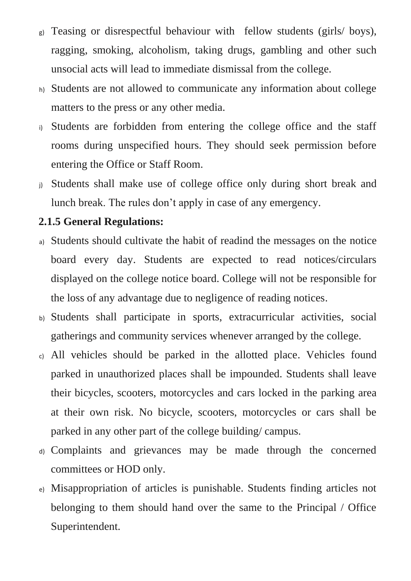- g) Teasing or disrespectful behaviour with fellow students (girls/ boys), ragging, smoking, alcoholism, taking drugs, gambling and other such unsocial acts will lead to immediate dismissal from the college.
- h) Students are not allowed to communicate any information about college matters to the press or any other media.
- i) Students are forbidden from entering the college office and the staff rooms during unspecified hours. They should seek permission before entering the Office or Staff Room.
- j) Students shall make use of college office only during short break and lunch break. The rules don't apply in case of any emergency.

# **2.1.5 General Regulations:**

- a) Students should cultivate the habit of readind the messages on the notice board every day. Students are expected to read notices/circulars displayed on the college notice board. College will not be responsible for the loss of any advantage due to negligence of reading notices.
- b) Students shall participate in sports, extracurricular activities, social gatherings and community services whenever arranged by the college.
- c) All vehicles should be parked in the allotted place. Vehicles found parked in unauthorized places shall be impounded. Students shall leave their bicycles, scooters, motorcycles and cars locked in the parking area at their own risk. No bicycle, scooters, motorcycles or cars shall be parked in any other part of the college building/ campus.
- d) Complaints and grievances may be made through the concerned committees or HOD only.
- e) Misappropriation of articles is punishable. Students finding articles not belonging to them should hand over the same to the Principal / Office Superintendent.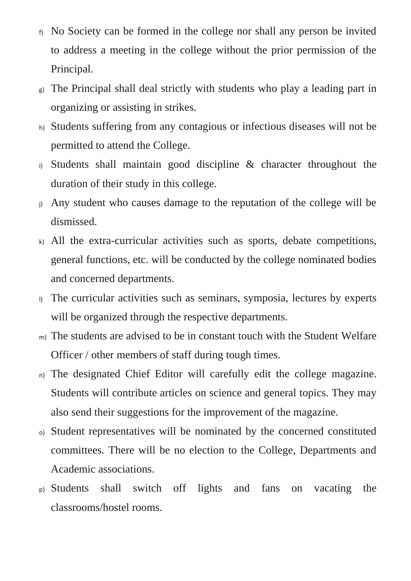- f) No Society can be formed in the college nor shall any person be invited to address a meeting in the college without the prior permission of the Principal.
- The Principal shall deal strictly with students who play a leading part in organizing or assisting in strikes.
- h) Students suffering from any contagious or infectious diseases will not be permitted to attend the College.
- i) Students shall maintain good discipline & character throughout the duration of their study in this college.
- j) Any student who causes damage to the reputation of the college will be dismissed.
- k) All the extra-curricular activities such as sports, debate competitions, general functions, etc. will be conducted by the college nominated bodies and concerned departments.
- l) The curricular activities such as seminars, symposia, lectures by experts will be organized through the respective departments.
- m) The students are advised to be in constant touch with the Student Welfare Officer / other members of staff during tough times.
- n) The designated Chief Editor will carefully edit the college magazine. Students will contribute articles on science and general topics. They may also send their suggestions for the improvement of the magazine.
- o) Student representatives will be nominated by the concerned constituted committees. There will be no election to the College, Departments and Academic associations.
- p) Students shall switch off lights and fans on vacating the classrooms/hostel rooms.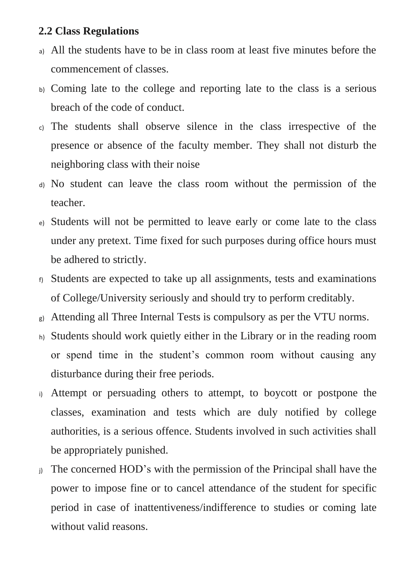#### **2.2 Class Regulations**

- a) All the students have to be in class room at least five minutes before the commencement of classes.
- b) Coming late to the college and reporting late to the class is a serious breach of the code of conduct.
- c) The students shall observe silence in the class irrespective of the presence or absence of the faculty member. They shall not disturb the neighboring class with their noise
- d) No student can leave the class room without the permission of the teacher.
- e) Students will not be permitted to leave early or come late to the class under any pretext. Time fixed for such purposes during office hours must be adhered to strictly.
- f) Students are expected to take up all assignments, tests and examinations of College/University seriously and should try to perform creditably.
- g) Attending all Three Internal Tests is compulsory as per the VTU norms.
- h) Students should work quietly either in the Library or in the reading room or spend time in the student's common room without causing any disturbance during their free periods.
- i) Attempt or persuading others to attempt, to boycott or postpone the classes, examination and tests which are duly notified by college authorities, is a serious offence. Students involved in such activities shall be appropriately punished.
- j) The concerned HOD's with the permission of the Principal shall have the power to impose fine or to cancel attendance of the student for specific period in case of inattentiveness/indifference to studies or coming late without valid reasons.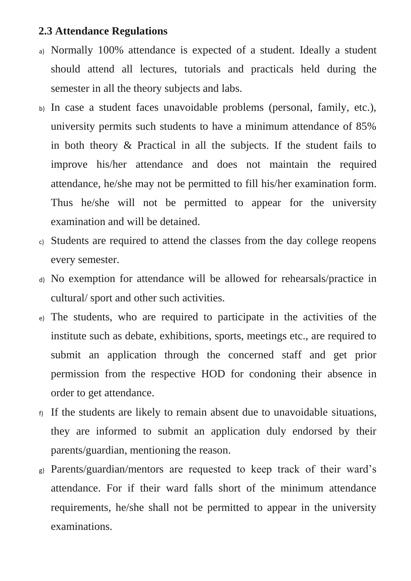#### **2.3 Attendance Regulations**

- a) Normally 100% attendance is expected of a student. Ideally a student should attend all lectures, tutorials and practicals held during the semester in all the theory subjects and labs.
- b) In case a student faces unavoidable problems (personal, family, etc.), university permits such students to have a minimum attendance of 85% in both theory & Practical in all the subjects. If the student fails to improve his/her attendance and does not maintain the required attendance, he/she may not be permitted to fill his/her examination form. Thus he/she will not be permitted to appear for the university examination and will be detained.
- c) Students are required to attend the classes from the day college reopens every semester.
- d) No exemption for attendance will be allowed for rehearsals/practice in cultural/ sport and other such activities.
- e) The students, who are required to participate in the activities of the institute such as debate, exhibitions, sports, meetings etc., are required to submit an application through the concerned staff and get prior permission from the respective HOD for condoning their absence in order to get attendance.
- f) If the students are likely to remain absent due to unavoidable situations, they are informed to submit an application duly endorsed by their parents/guardian, mentioning the reason.
- g) Parents/guardian/mentors are requested to keep track of their ward's attendance. For if their ward falls short of the minimum attendance requirements, he/she shall not be permitted to appear in the university examinations.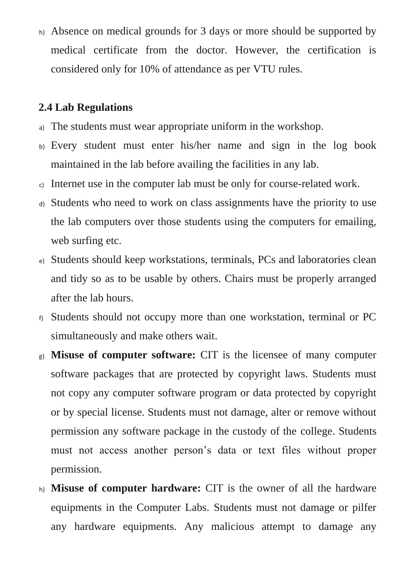h) Absence on medical grounds for 3 days or more should be supported by medical certificate from the doctor. However, the certification is considered only for 10% of attendance as per VTU rules.

### **2.4 Lab Regulations**

- a) The students must wear appropriate uniform in the workshop.
- b) Every student must enter his/her name and sign in the log book maintained in the lab before availing the facilities in any lab.
- c) Internet use in the computer lab must be only for course-related work.
- d) Students who need to work on class assignments have the priority to use the lab computers over those students using the computers for emailing, web surfing etc.
- e) Students should keep workstations, terminals, PCs and laboratories clean and tidy so as to be usable by others. Chairs must be properly arranged after the lab hours.
- f) Students should not occupy more than one workstation, terminal or PC simultaneously and make others wait.
- g) **Misuse of computer software:** CIT is the licensee of many computer software packages that are protected by copyright laws. Students must not copy any computer software program or data protected by copyright or by special license. Students must not damage, alter or remove without permission any software package in the custody of the college. Students must not access another person's data or text files without proper permission.
- h) **Misuse of computer hardware:** CIT is the owner of all the hardware equipments in the Computer Labs. Students must not damage or pilfer any hardware equipments. Any malicious attempt to damage any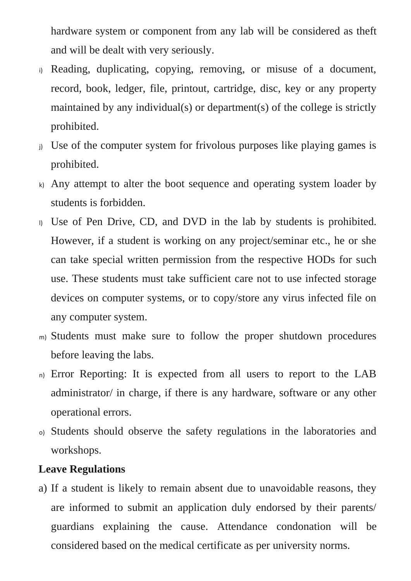hardware system or component from any lab will be considered as theft and will be dealt with very seriously.

- i) Reading, duplicating, copying, removing, or misuse of a document, record, book, ledger, file, printout, cartridge, disc, key or any property maintained by any individual(s) or department(s) of the college is strictly prohibited.
- j) Use of the computer system for frivolous purposes like playing games is prohibited.
- $k$ ) Any attempt to alter the boot sequence and operating system loader by students is forbidden.
- l) Use of Pen Drive, CD, and DVD in the lab by students is prohibited. However, if a student is working on any project/seminar etc., he or she can take special written permission from the respective HODs for such use. These students must take sufficient care not to use infected storage devices on computer systems, or to copy/store any virus infected file on any computer system.
- m) Students must make sure to follow the proper shutdown procedures before leaving the labs.
- n) Error Reporting: It is expected from all users to report to the LAB administrator/ in charge, if there is any hardware, software or any other operational errors.
- o) Students should observe the safety regulations in the laboratories and workshops.

#### **Leave Regulations**

a) If a student is likely to remain absent due to unavoidable reasons, they are informed to submit an application duly endorsed by their parents/ guardians explaining the cause. Attendance condonation will be considered based on the medical certificate as per university norms.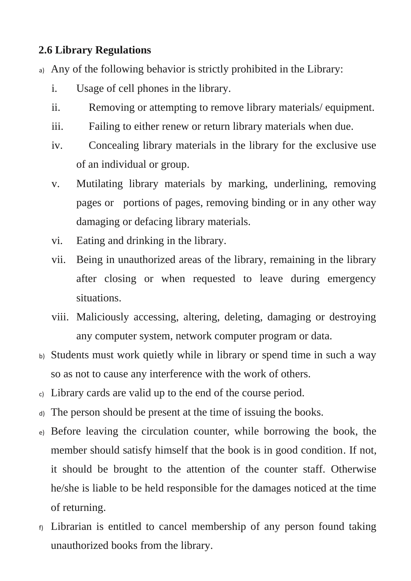### **2.6 Library Regulations**

- a) Any of the following behavior is strictly prohibited in the Library:
	- i. Usage of cell phones in the library.
	- ii. Removing or attempting to remove library materials/ equipment.
	- iii. Failing to either renew or return library materials when due.
	- iv. Concealing library materials in the library for the exclusive use of an individual or group.
	- v. Mutilating library materials by marking, underlining, removing pages or portions of pages, removing binding or in any other way damaging or defacing library materials.
	- vi. Eating and drinking in the library.
	- vii. Being in unauthorized areas of the library, remaining in the library after closing or when requested to leave during emergency situations.
	- viii. Maliciously accessing, altering, deleting, damaging or destroying any computer system, network computer program or data.
- b) Students must work quietly while in library or spend time in such a way so as not to cause any interference with the work of others.
- c) Library cards are valid up to the end of the course period.
- d) The person should be present at the time of issuing the books.
- e) Before leaving the circulation counter, while borrowing the book, the member should satisfy himself that the book is in good condition. If not, it should be brought to the attention of the counter staff. Otherwise he/she is liable to be held responsible for the damages noticed at the time of returning.
- f) Librarian is entitled to cancel membership of any person found taking unauthorized books from the library.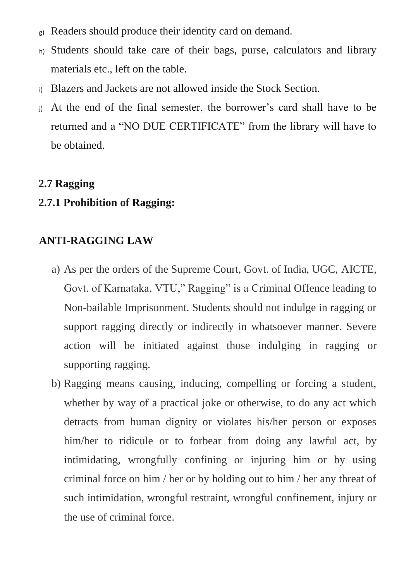- g) Readers should produce their identity card on demand.
- h) Students should take care of their bags, purse, calculators and library materials etc., left on the table.
- i) Blazers and Jackets are not allowed inside the Stock Section.
- j) At the end of the final semester, the borrower's card shall have to be returned and a "NO DUE CERTIFICATE" from the library will have to be obtained.

#### **2.7 Ragging**

#### **2.7.1 Prohibition of Ragging:**

### **ANTI-RAGGING LAW**

- a) As per the orders of the Supreme Court, Govt. of India, UGC, AICTE, Govt. of Karnataka, VTU," Ragging" is a Criminal Offence leading to Non-bailable Imprisonment. Students should not indulge in ragging or support ragging directly or indirectly in whatsoever manner. Severe action will be initiated against those indulging in ragging or supporting ragging.
- b) Ragging means causing, inducing, compelling or forcing a student, whether by way of a practical joke or otherwise, to do any act which detracts from human dignity or violates his/her person or exposes him/her to ridicule or to forbear from doing any lawful act, by intimidating, wrongfully confining or injuring him or by using criminal force on him / her or by holding out to him / her any threat of such intimidation, wrongful restraint, wrongful confinement, injury or the use of criminal force.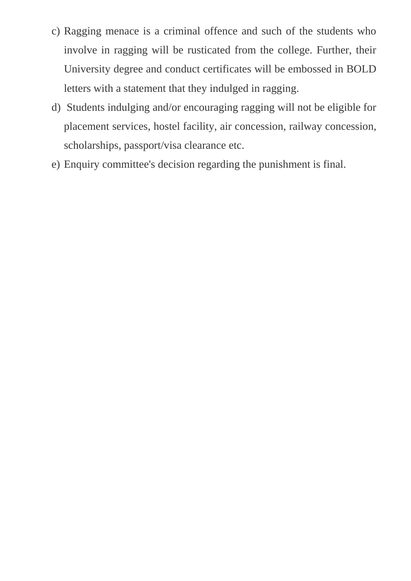- c) Ragging menace is a criminal offence and such of the students who involve in ragging will be rusticated from the college. Further, their University degree and conduct certificates will be embossed in BOLD letters with a statement that they indulged in ragging.
- d) Students indulging and/or encouraging ragging will not be eligible for placement services, hostel facility, air concession, railway concession, scholarships, passport/visa clearance etc.
- e) Enquiry committee's decision regarding the punishment is final.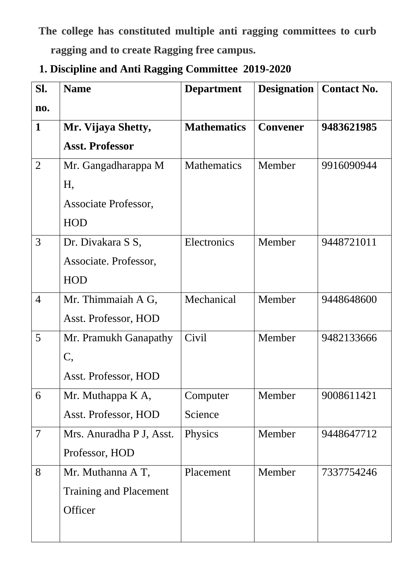**The college has constituted multiple anti ragging committees to curb ragging and to create Ragging free campus.**

**1. Discipline and Anti Ragging Committee 2019-2020**

| Sl.            | <b>Name</b>                   | <b>Department</b>  | <b>Designation</b> | <b>Contact No.</b> |
|----------------|-------------------------------|--------------------|--------------------|--------------------|
| no.            |                               |                    |                    |                    |
| $\mathbf{1}$   | Mr. Vijaya Shetty,            | <b>Mathematics</b> | <b>Convener</b>    | 9483621985         |
|                | <b>Asst. Professor</b>        |                    |                    |                    |
| $\overline{2}$ | Mr. Gangadharappa M           | <b>Mathematics</b> | Member             | 9916090944         |
|                | Η,                            |                    |                    |                    |
|                | Associate Professor,          |                    |                    |                    |
|                | <b>HOD</b>                    |                    |                    |                    |
| 3              | Dr. Divakara S S,             | Electronics        | Member             | 9448721011         |
|                | Associate. Professor,         |                    |                    |                    |
|                | <b>HOD</b>                    |                    |                    |                    |
| $\overline{4}$ | Mr. Thimmaiah A G,            | Mechanical         | Member             | 9448648600         |
|                | Asst. Professor, HOD          |                    |                    |                    |
| 5              | Mr. Pramukh Ganapathy         | Civil              | Member             | 9482133666         |
|                | $\mathsf{C},$                 |                    |                    |                    |
|                | Asst. Professor, HOD          |                    |                    |                    |
| 6              | Mr. Muthappa K A,             | Computer           | Member             | 9008611421         |
|                | Asst. Professor, HOD          | Science            |                    |                    |
| $\overline{7}$ | Mrs. Anuradha P J, Asst.      | Physics            | Member             | 9448647712         |
|                | Professor, HOD                |                    |                    |                    |
| 8              | Mr. Muthanna A T,             | Placement          | Member             | 7337754246         |
|                | <b>Training and Placement</b> |                    |                    |                    |
|                | Officer                       |                    |                    |                    |
|                |                               |                    |                    |                    |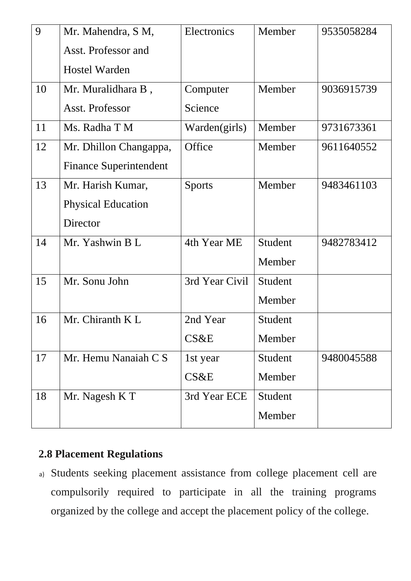| 9  | Mr. Mahendra, S M,            | Electronics    | Member  | 9535058284 |
|----|-------------------------------|----------------|---------|------------|
|    | Asst. Professor and           |                |         |            |
|    | <b>Hostel Warden</b>          |                |         |            |
| 10 | Mr. Muralidhara B,            | Computer       | Member  | 9036915739 |
|    | Asst. Professor               | Science        |         |            |
| 11 | Ms. Radha T M                 | Warden(girls)  | Member  | 9731673361 |
| 12 | Mr. Dhillon Changappa,        | Office         | Member  | 9611640552 |
|    | <b>Finance Superintendent</b> |                |         |            |
| 13 | Mr. Harish Kumar,             | <b>Sports</b>  | Member  | 9483461103 |
|    | <b>Physical Education</b>     |                |         |            |
|    | Director                      |                |         |            |
| 14 | Mr. Yashwin B L               | 4th Year ME    | Student | 9482783412 |
|    |                               |                | Member  |            |
| 15 | Mr. Sonu John                 | 3rd Year Civil | Student |            |
|    |                               |                | Member  |            |
| 16 | Mr. Chiranth K L              | 2nd Year       | Student |            |
|    |                               | CS&E           | Member  |            |
| 17 | Mr. Hemu Nanaiah C S          | 1st year       | Student | 9480045588 |
|    |                               | CS&E           | Member  |            |
| 18 | Mr. Nagesh K T                | 3rd Year ECE   | Student |            |
|    |                               |                | Member  |            |

# **2.8 Placement Regulations**

a) Students seeking placement assistance from college placement cell are compulsorily required to participate in all the training programs organized by the college and accept the placement policy of the college.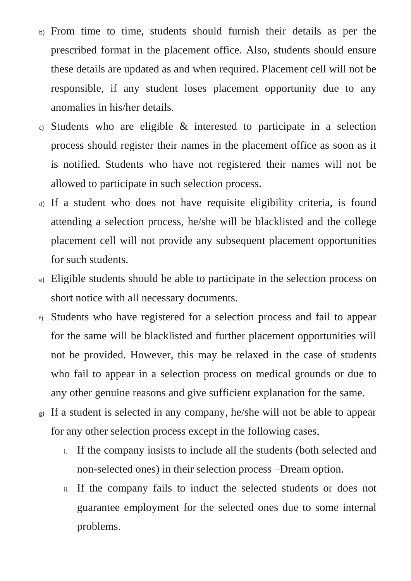- b) From time to time, students should furnish their details as per the prescribed format in the placement office. Also, students should ensure these details are updated as and when required. Placement cell will not be responsible, if any student loses placement opportunity due to any anomalies in his/her details.
- c) Students who are eligible & interested to participate in a selection process should register their names in the placement office as soon as it is notified. Students who have not registered their names will not be allowed to participate in such selection process.
- d) If a student who does not have requisite eligibility criteria, is found attending a selection process, he/she will be blacklisted and the college placement cell will not provide any subsequent placement opportunities for such students.
- e) Eligible students should be able to participate in the selection process on short notice with all necessary documents.
- f) Students who have registered for a selection process and fail to appear for the same will be blacklisted and further placement opportunities will not be provided. However, this may be relaxed in the case of students who fail to appear in a selection process on medical grounds or due to any other genuine reasons and give sufficient explanation for the same.
- g) If a student is selected in any company, he/she will not be able to appear for any other selection process except in the following cases,
	- i. If the company insists to include all the students (both selected and non-selected ones) in their selection process –Dream option.
	- ii. If the company fails to induct the selected students or does not guarantee employment for the selected ones due to some internal problems.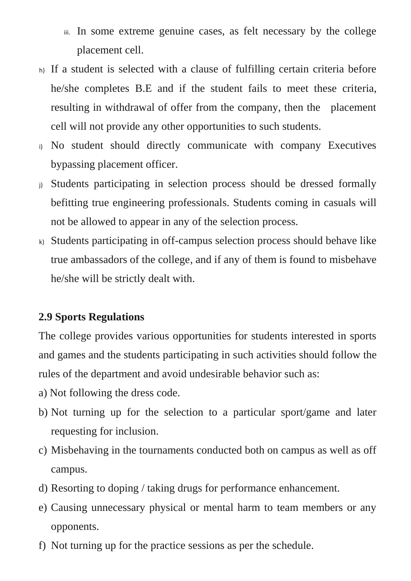- iii. In some extreme genuine cases, as felt necessary by the college placement cell.
- h) If a student is selected with a clause of fulfilling certain criteria before he/she completes B.E and if the student fails to meet these criteria, resulting in withdrawal of offer from the company, then the placement cell will not provide any other opportunities to such students.
- i) No student should directly communicate with company Executives bypassing placement officer.
- j) Students participating in selection process should be dressed formally befitting true engineering professionals. Students coming in casuals will not be allowed to appear in any of the selection process.
- k) Students participating in off-campus selection process should behave like true ambassadors of the college, and if any of them is found to misbehave he/she will be strictly dealt with.

# **2.9 Sports Regulations**

The college provides various opportunities for students interested in sports and games and the students participating in such activities should follow the rules of the department and avoid undesirable behavior such as:

- a) Not following the dress code.
- b) Not turning up for the selection to a particular sport/game and later requesting for inclusion.
- c) Misbehaving in the tournaments conducted both on campus as well as off campus.
- d) Resorting to doping / taking drugs for performance enhancement.
- e) Causing unnecessary physical or mental harm to team members or any opponents.
- f) Not turning up for the practice sessions as per the schedule.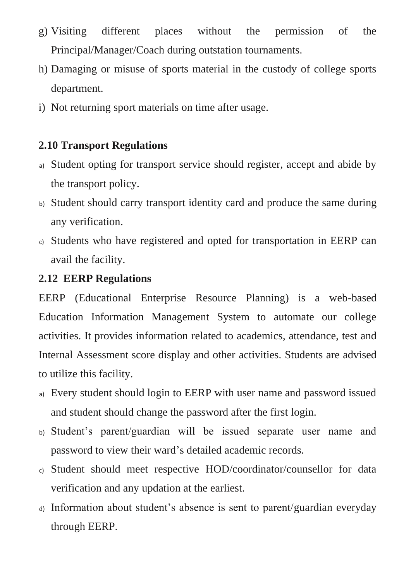- g) Visiting different places without the permission of the Principal/Manager/Coach during outstation tournaments.
- h) Damaging or misuse of sports material in the custody of college sports department.
- i) Not returning sport materials on time after usage.

# **2.10 Transport Regulations**

- a) Student opting for transport service should register, accept and abide by the transport policy.
- b) Student should carry transport identity card and produce the same during any verification.
- c) Students who have registered and opted for transportation in EERP can avail the facility.

# **2.12 EERP Regulations**

EERP (Educational Enterprise Resource Planning) is a web-based Education Information Management System to automate our college activities. It provides information related to academics, attendance, test and Internal Assessment score display and other activities. Students are advised to utilize this facility.

- a) Every student should login to EERP with user name and password issued and student should change the password after the first login.
- b) Student's parent/guardian will be issued separate user name and password to view their ward's detailed academic records.
- c) Student should meet respective HOD/coordinator/counsellor for data verification and any updation at the earliest.
- d) Information about student's absence is sent to parent/guardian everyday through EERP.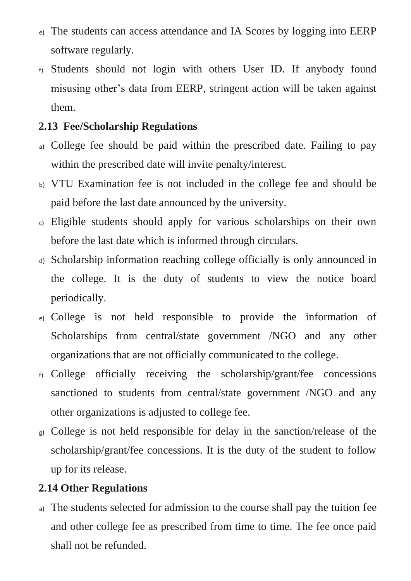- e) The students can access attendance and IA Scores by logging into EERP software regularly.
- f) Students should not login with others User ID. If anybody found misusing other's data from EERP, stringent action will be taken against them.

# **2.13 Fee/Scholarship Regulations**

- a) College fee should be paid within the prescribed date. Failing to pay within the prescribed date will invite penalty/interest.
- b) VTU Examination fee is not included in the college fee and should be paid before the last date announced by the university.
- c) Eligible students should apply for various scholarships on their own before the last date which is informed through circulars.
- d) Scholarship information reaching college officially is only announced in the college. It is the duty of students to view the notice board periodically.
- e) College is not held responsible to provide the information of Scholarships from central/state government /NGO and any other organizations that are not officially communicated to the college.
- f) College officially receiving the scholarship/grant/fee concessions sanctioned to students from central/state government /NGO and any other organizations is adjusted to college fee.
- g) College is not held responsible for delay in the sanction/release of the scholarship/grant/fee concessions. It is the duty of the student to follow up for its release.

# **2.14 Other Regulations**

a) The students selected for admission to the course shall pay the tuition fee and other college fee as prescribed from time to time. The fee once paid shall not be refunded.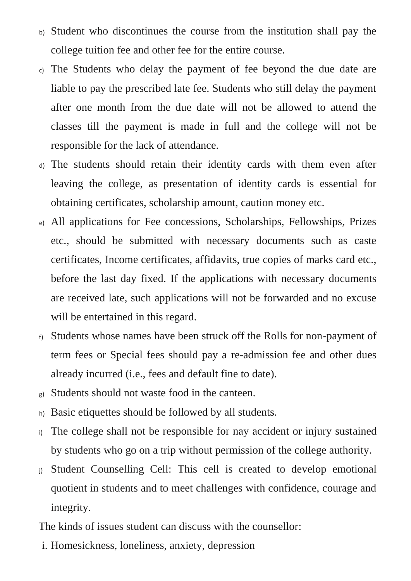- b) Student who discontinues the course from the institution shall pay the college tuition fee and other fee for the entire course.
- c) The Students who delay the payment of fee beyond the due date are liable to pay the prescribed late fee. Students who still delay the payment after one month from the due date will not be allowed to attend the classes till the payment is made in full and the college will not be responsible for the lack of attendance.
- d) The students should retain their identity cards with them even after leaving the college, as presentation of identity cards is essential for obtaining certificates, scholarship amount, caution money etc.
- e) All applications for Fee concessions, Scholarships, Fellowships, Prizes etc., should be submitted with necessary documents such as caste certificates, Income certificates, affidavits, true copies of marks card etc., before the last day fixed. If the applications with necessary documents are received late, such applications will not be forwarded and no excuse will be entertained in this regard.
- f) Students whose names have been struck off the Rolls for non-payment of term fees or Special fees should pay a re-admission fee and other dues already incurred (i.e., fees and default fine to date).
- g) Students should not waste food in the canteen.
- h) Basic etiquettes should be followed by all students.
- i) The college shall not be responsible for nay accident or injury sustained by students who go on a trip without permission of the college authority.
- j) Student Counselling Cell: This cell is created to develop emotional quotient in students and to meet challenges with confidence, courage and integrity.

The kinds of issues student can discuss with the counsellor:

i. Homesickness, loneliness, anxiety, depression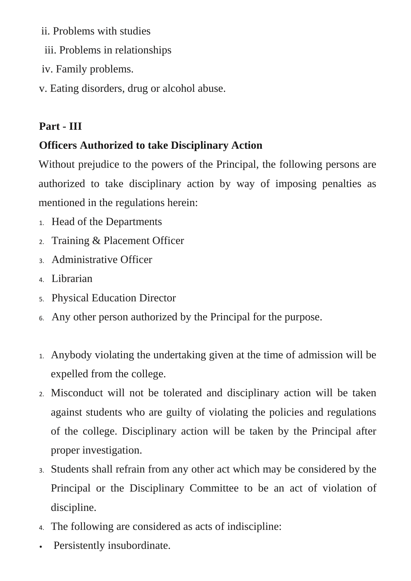ii. Problems with studies

- iii. Problems in relationships
- iv. Family problems.
- v. Eating disorders, drug or alcohol abuse.

# **Part - III**

# **Officers Authorized to take Disciplinary Action**

Without prejudice to the powers of the Principal, the following persons are authorized to take disciplinary action by way of imposing penalties as mentioned in the regulations herein:

- 1. Head of the Departments
- 2. Training & Placement Officer
- 3. Administrative Officer
- 4. Librarian
- 5. Physical Education Director
- 6. Any other person authorized by the Principal for the purpose.
- 1. Anybody violating the undertaking given at the time of admission will be expelled from the college.
- 2. Misconduct will not be tolerated and disciplinary action will be taken against students who are guilty of violating the policies and regulations of the college. Disciplinary action will be taken by the Principal after proper investigation.
- 3. Students shall refrain from any other act which may be considered by the Principal or the Disciplinary Committee to be an act of violation of discipline.
- 4. The following are considered as acts of indiscipline:
- Persistently insubordinate.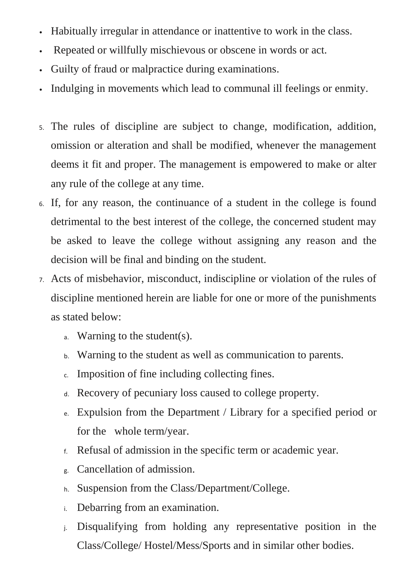- Habitually irregular in attendance or inattentive to work in the class.
- Repeated or willfully mischievous or obscene in words or act.
- Guilty of fraud or malpractice during examinations.
- Indulging in movements which lead to communal ill feelings or enmity.
- 5. The rules of discipline are subject to change, modification, addition, omission or alteration and shall be modified, whenever the management deems it fit and proper. The management is empowered to make or alter any rule of the college at any time.
- 6. If, for any reason, the continuance of a student in the college is found detrimental to the best interest of the college, the concerned student may be asked to leave the college without assigning any reason and the decision will be final and binding on the student.
- 7. Acts of misbehavior, misconduct, indiscipline or violation of the rules of discipline mentioned herein are liable for one or more of the punishments as stated below:
	- a. Warning to the student(s).
	- b. Warning to the student as well as communication to parents.
	- c. Imposition of fine including collecting fines.
	- d. Recovery of pecuniary loss caused to college property.
	- e. Expulsion from the Department / Library for a specified period or for the whole term/year.
	- f. Refusal of admission in the specific term or academic year.
	- g. Cancellation of admission.
	- h. Suspension from the Class/Department/College.
	- i. Debarring from an examination.
	- j. Disqualifying from holding any representative position in the Class/College/ Hostel/Mess/Sports and in similar other bodies.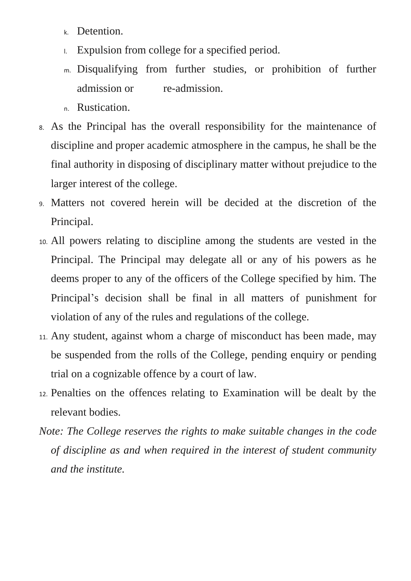- k. Detention.
- l. Expulsion from college for a specified period.
- m. Disqualifying from further studies, or prohibition of further admission or re-admission.
- n. Rustication.
- 8. As the Principal has the overall responsibility for the maintenance of discipline and proper academic atmosphere in the campus, he shall be the final authority in disposing of disciplinary matter without prejudice to the larger interest of the college.
- 9. Matters not covered herein will be decided at the discretion of the Principal.
- 10. All powers relating to discipline among the students are vested in the Principal. The Principal may delegate all or any of his powers as he deems proper to any of the officers of the College specified by him. The Principal's decision shall be final in all matters of punishment for violation of any of the rules and regulations of the college.
- 11. Any student, against whom a charge of misconduct has been made, may be suspended from the rolls of the College, pending enquiry or pending trial on a cognizable offence by a court of law.
- 12. Penalties on the offences relating to Examination will be dealt by the relevant bodies.
- *Note: The College reserves the rights to make suitable changes in the code of discipline as and when required in the interest of student community and the institute.*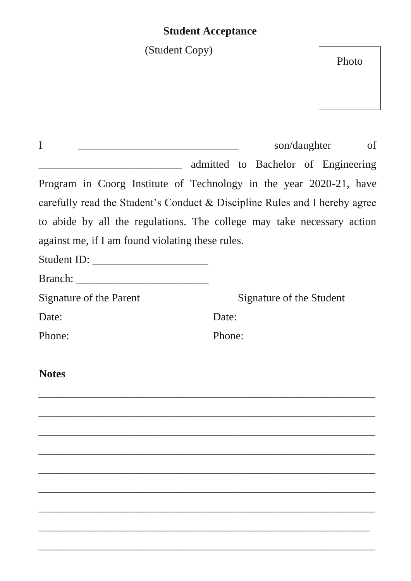# **Student Acceptance**

(Student Copy)

Photo

| son/daughter<br>of                                                         |
|----------------------------------------------------------------------------|
| admitted to Bachelor of Engineering                                        |
| Program in Coorg Institute of Technology in the year 2020-21, have         |
| carefully read the Student's Conduct & Discipline Rules and I hereby agree |
| to abide by all the regulations. The college may take necessary action     |
| against me, if I am found violating these rules.                           |
|                                                                            |
|                                                                            |
| Signature of the Student                                                   |
| Date:                                                                      |
| Phone:                                                                     |
|                                                                            |
|                                                                            |
|                                                                            |
|                                                                            |
|                                                                            |
|                                                                            |
|                                                                            |
|                                                                            |
|                                                                            |

\_\_\_\_\_\_\_\_\_\_\_\_\_\_\_\_\_\_\_\_\_\_\_\_\_\_\_\_\_\_\_\_\_\_\_\_\_\_\_\_\_\_\_\_\_\_\_\_\_\_\_\_\_\_\_\_\_\_\_\_\_

\_\_\_\_\_\_\_\_\_\_\_\_\_\_\_\_\_\_\_\_\_\_\_\_\_\_\_\_\_\_\_\_\_\_\_\_\_\_\_\_\_\_\_\_\_\_\_\_\_\_\_\_\_\_\_\_\_\_\_\_

\_\_\_\_\_\_\_\_\_\_\_\_\_\_\_\_\_\_\_\_\_\_\_\_\_\_\_\_\_\_\_\_\_\_\_\_\_\_\_\_\_\_\_\_\_\_\_\_\_\_\_\_\_\_\_\_\_\_\_\_\_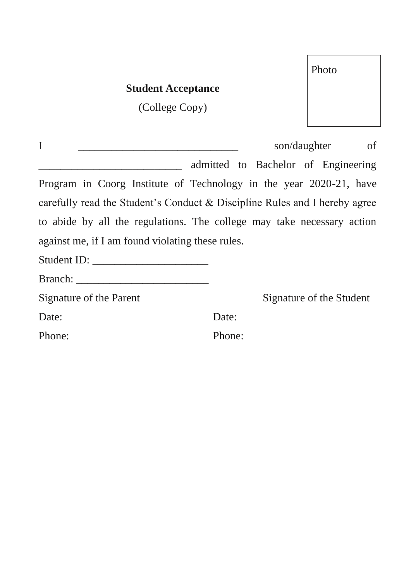| <b>Student Acceptance</b>                        |                                                                            |
|--------------------------------------------------|----------------------------------------------------------------------------|
| (College Copy)                                   |                                                                            |
|                                                  |                                                                            |
| I                                                | son/daughter<br>of                                                         |
|                                                  | admitted to Bachelor of Engineering                                        |
|                                                  | Program in Coorg Institute of Technology in the year 2020-21, have         |
|                                                  | carefully read the Student's Conduct & Discipline Rules and I hereby agree |
|                                                  | to abide by all the regulations. The college may take necessary action     |
| against me, if I am found violating these rules. |                                                                            |
|                                                  |                                                                            |
|                                                  |                                                                            |
| Signature of the Parent                          | Signature of the Student                                                   |
| Date:                                            | Date:                                                                      |
| Phone:                                           | Phone:                                                                     |
|                                                  |                                                                            |

Photo